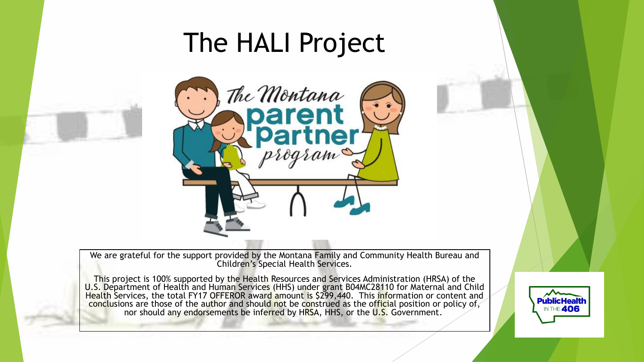# The HALI Project



We are grateful for the support provided by the Montana Family and Community Health Bureau and Children's Special Health Services.

This project is 100% supported by the Health Resources and Services Administration (HRSA) of the U.S. Department of Health and Human Services (HHS) under grant B04MC28110 for Maternal and Child Health Services, the total FY17 OFFEROR award amount is \$299,440. This information or content and I conclusions are those of the author and should not be construed as the official position or policy of, nor should any endorsements be inferred by HRSA, HHS, or the U.S. Government.

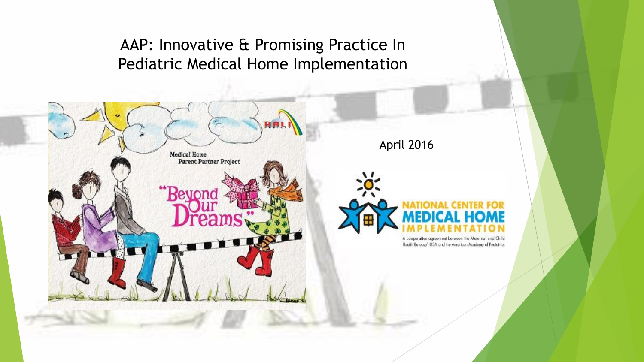#### AAP: Innovative & Promising Practice In Pediatric Medical Home Implementation



April 2016



A cooperative agreement between the Maternal and Child Health Bureau/HRSA and the American Academy of Peckatrics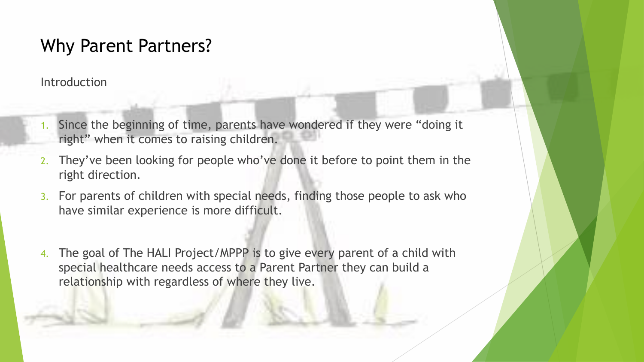#### Why Parent Partners?

Introduction

- 1. Since the beginning of time, parents have wondered if they were "doing it right" when it comes to raising children.
- 2. They've been looking for people who've done it before to point them in the right direction.
- 3. For parents of children with special needs, finding those people to ask who have similar experience is more difficult.
- 4. The goal of The HALI Project/MPPP is to give every parent of a child with special healthcare needs access to a Parent Partner they can build a relationship with regardless of where they live.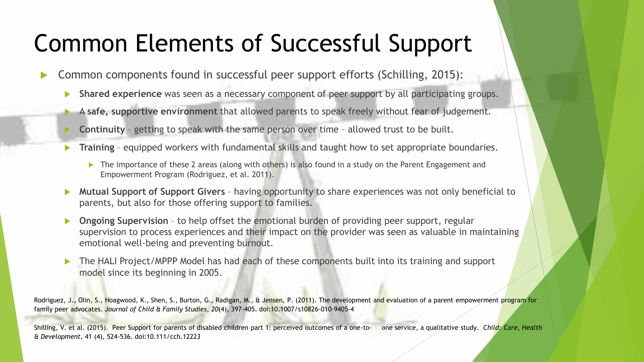# Common Elements of Successful Support

- Common components found in successful peer support efforts (Schilling, 2015):
	- **Shared experience** was seen as a necessary component of peer support by all participating groups.
	- A **safe, supportive environment** that allowed parents to speak freely without fear of judgement.
	- **Continuity** getting to speak with the same person over time allowed trust to be built.
	- **Training** equipped workers with fundamental skills and taught how to set appropriate boundaries.
		- ▶ The importance of these 2 areas (along with others) is also found in a study on the Parent Engagement and Empowerment Program (Rodriguez, et al. 2011).
	- **Mutual Support of Support Givers**  having opportunity to share experiences was not only beneficial to parents, but also for those offering support to families.
	- **Ongoing Supervision** to help offset the emotional burden of providing peer support, regular supervision to process experiences and their impact on the provider was seen as valuable in maintaining emotional well-being and preventing burnout.
	- The HALI Project/MPPP Model has had each of these components built into its training and support model since its beginning in 2005.

Rodriguez, J., Olin, S., Hoagwood, K., Shen, S., Burton, G., Radigan, M., & Jensen, P. (2011). The development and evaluation of a parent empowerment program for family peer advocates. *Journal of Child & Family Studies*, *20*(4), 397-405. doi:10.1007/s10826-010-9405-4

Shilling, V. et al. (2015). Peer Support for parents of disabled children part 1: perceived outcomes of a one-to- one service, a qualitative study. *Child: Care, Health & Development*, 41 (4), 524-536. doi:10.111/cch.12223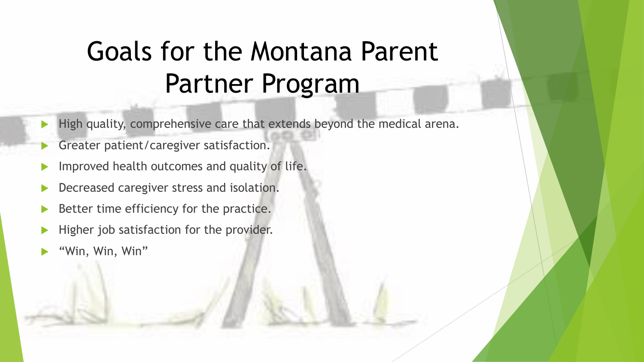# Goals for the Montana Parent Partner Program

- $\blacktriangleright$  High quality, comprehensive care that extends beyond the medical arena.
- Greater patient/caregiver satisfaction.
- Improved health outcomes and quality of life.
- Decreased caregiver stress and isolation.
- Better time efficiency for the practice.
- Higher job satisfaction for the provider.
- "Win, Win, Win"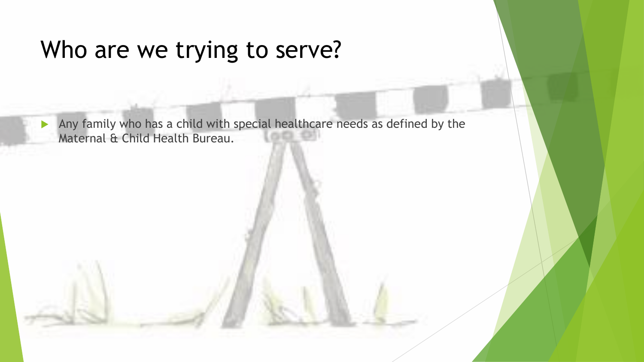#### Who are we trying to serve?

Any family who has a child with special healthcare needs as defined by the Maternal & Child Health Bureau.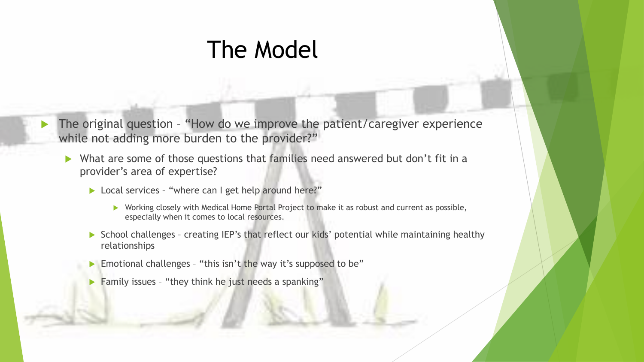#### The Model

- $\blacktriangleright$  The original question "How do we improve the patient/caregiver experience while not adding more burden to the provider?"
	- What are some of those questions that families need answered but don't fit in a provider's area of expertise?
		- Local services "where can I get help around here?"
			- ▶ Working closely with Medical Home Portal Project to make it as robust and current as possible, especially when it comes to local resources.
		- $\triangleright$  School challenges creating IEP's that reflect our kids' potential while maintaining healthy relationships
		- Emotional challenges "this isn't the way it's supposed to be"
		- Family issues "they think he just needs a spanking"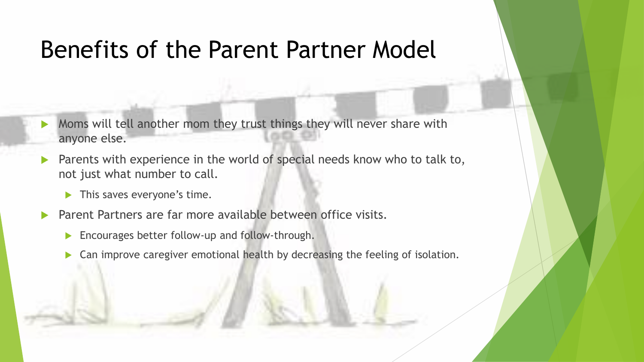### Benefits of the Parent Partner Model

- Moms will tell another mom they trust things they will never share with anyone else.
- Parents with experience in the world of special needs know who to talk to, not just what number to call.
	- **This saves everyone's time.**
- Parent Partners are far more available between office visits.
	- **Encourages better follow-up and follow-through.**
	- Can improve caregiver emotional health by decreasing the feeling of isolation.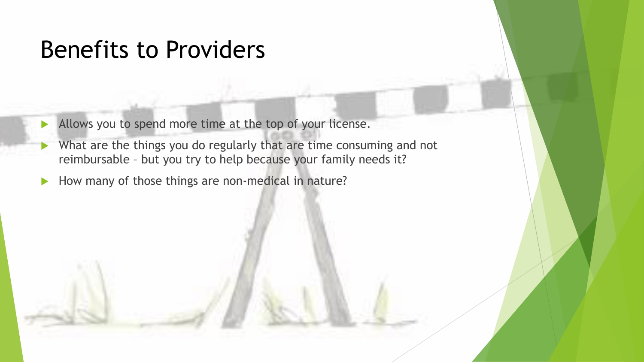### Benefits to Providers

- Allows you to spend more time at the top of your license.
- What are the things you do regularly that are time consuming and not reimbursable – but you try to help because your family needs it?
- How many of those things are non-medical in nature?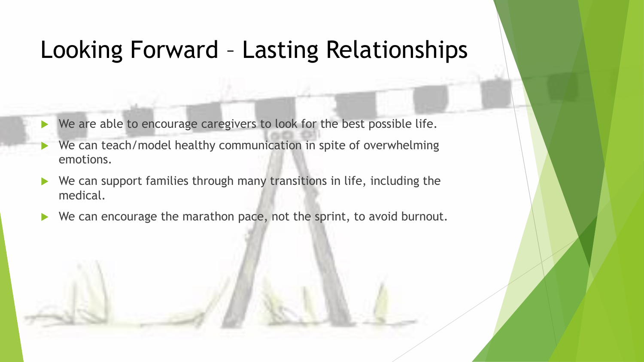# Looking Forward – Lasting Relationships

- ▶ We are able to encourage caregivers to look for the best possible life.
- We can teach/model healthy communication in spite of overwhelming emotions.
- $\blacktriangleright$  We can support families through many transitions in life, including the medical.
- We can encourage the marathon pace, not the sprint, to avoid burnout.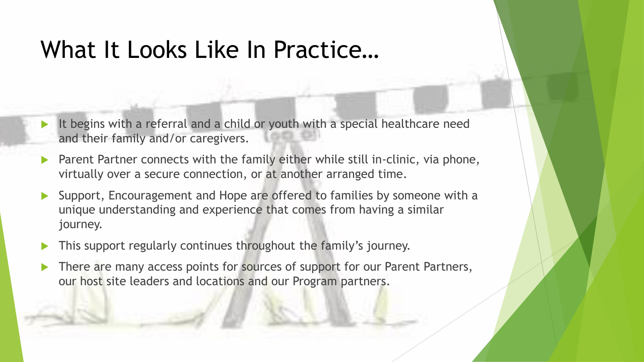### What It Looks Like In Practice…

- It begins with a referral and a child or youth with a special healthcare need and their family and/or caregivers.
- Parent Partner connects with the family either while still in-clinic, via phone, virtually over a secure connection, or at another arranged time.
- Support, Encouragement and Hope are offered to families by someone with a unique understanding and experience that comes from having a similar journey.
- This support regularly continues throughout the family's journey.
- There are many access points for sources of support for our Parent Partners, our host site leaders and locations and our Program partners.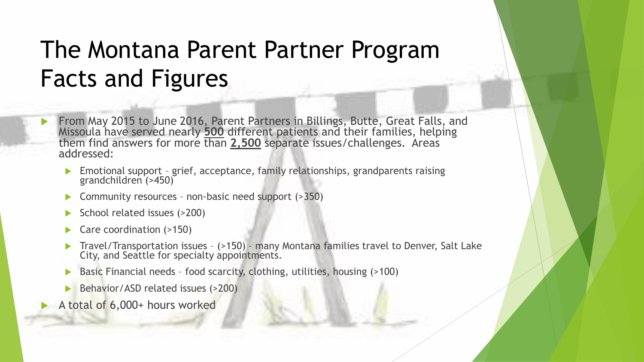# The Montana Parent Partner Program Facts and Figures

- From May 2015 to June 2016, Parent Partners in Billings, Butte, Great Falls, and Missoula have served nearly **500** different patients and their families, helping them find answers for more than **2,500** separate issues/challenges. Areas addressed:
	- Emotional support grief, acceptance, family relationships, grandparents raising grandchildren (>450)
	- Community resources non-basic need support (>350)
	- School related issues (>200)
	- Care coordination (>150)
	- Travel/Transportation issues (>150) many Montana families travel to Denver, Salt Lake City, and Seattle for specialty appointments.
	- Basic Financial needs food scarcity, clothing, utilities, housing (>100)
	- Behavior/ASD related issues (>200)
- A total of 6,000+ hours worked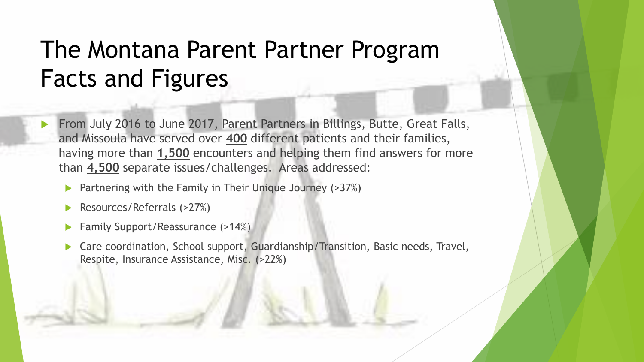# The Montana Parent Partner Program Facts and Figures

- From July 2016 to June 2017, Parent Partners in Billings, Butte, Great Falls, and Missoula have served over **400** different patients and their families, having more than **1,500** encounters and helping them find answers for more than **4,500** separate issues/challenges. Areas addressed:
	- Partnering with the Family in Their Unique Journey (>37%)
	- Resources/Referrals (>27%)
	- Family Support/Reassurance (>14%)
	- Care coordination, School support, Guardianship/Transition, Basic needs, Travel, Respite, Insurance Assistance, Misc. (>22%)